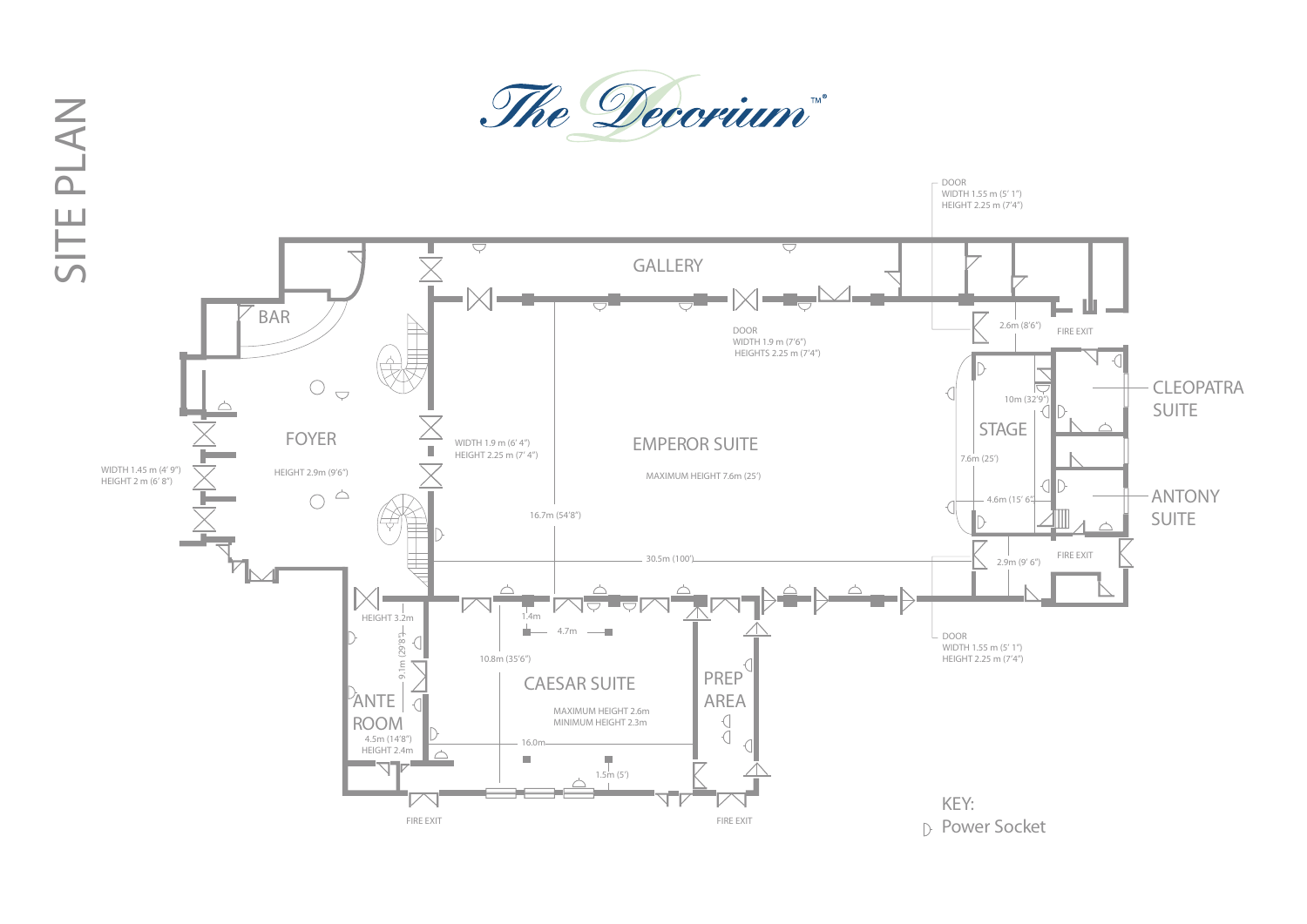